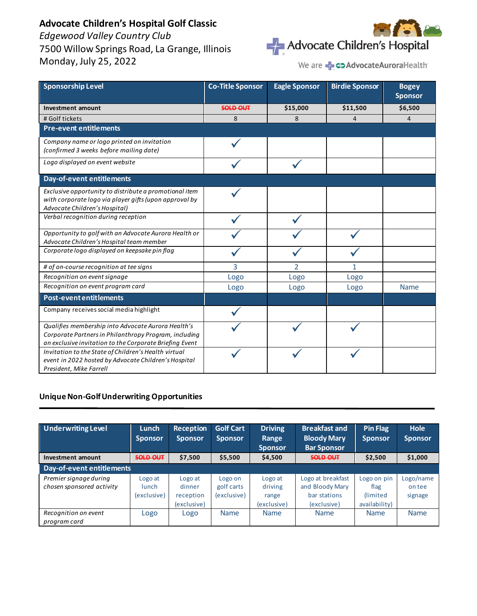# **Advocate Children's Hospital Golf Classic**

*Edgewood Valley Country Club* 7500 Willow Springs Road, La Grange, Illinois Monday, July 25, 2022



We are **- CD Advocate Aurora** Health

| <b>Sponsorship Level</b>                                                                                                                                               | <b>Co-Title Sponsor</b> | <b>Eagle Sponsor</b> | <b>Birdie Sponsor</b> | <b>Bogey</b><br><b>Sponsor</b> |
|------------------------------------------------------------------------------------------------------------------------------------------------------------------------|-------------------------|----------------------|-----------------------|--------------------------------|
| <b>Investment amount</b>                                                                                                                                               | <b>SOLD OUT</b>         | \$15,000             | \$11,500              | \$6,500                        |
| # Golf tickets                                                                                                                                                         | 8                       | 8                    | 4                     | $\overline{4}$                 |
| <b>Pre-event entitlements</b>                                                                                                                                          |                         |                      |                       |                                |
| Company name or logo printed on invitation<br>(confirmed 3 weeks before mailing date)                                                                                  |                         |                      |                       |                                |
| Logo displayed on event website                                                                                                                                        |                         |                      |                       |                                |
| Day-of-event entitlements                                                                                                                                              |                         |                      |                       |                                |
| Exclusive opportunity to distribute a promotional item<br>with corporate logo via player gifts (upon approval by<br>Advocate Children's Hospital)                      |                         |                      |                       |                                |
| Verbal recognition during reception                                                                                                                                    |                         |                      |                       |                                |
| Opportunity to golf with an Advocate Aurora Health or<br>Advocate Children's Hospital team member                                                                      |                         |                      |                       |                                |
| Corporate logo displayed on keepsake pin flag                                                                                                                          |                         |                      |                       |                                |
| # of on-course recognition at tee signs                                                                                                                                | 3                       | $\mathfrak{p}$       | 1                     |                                |
| Recognition on event signage                                                                                                                                           | Logo                    | Logo                 | Logo                  |                                |
| Recognition on event program card                                                                                                                                      | Logo                    | Logo                 | Logo                  | Name                           |
| <b>Post-event entitlements</b>                                                                                                                                         |                         |                      |                       |                                |
| Company receives social media highlight                                                                                                                                |                         |                      |                       |                                |
| Qualifies membership into Advocate Aurora Health's<br>Corporate Partners in Philanthropy Program, including<br>an exclusive invitation to the Corporate Briefing Event |                         |                      |                       |                                |
| Invitation to the State of Children's Health virtual<br>event in 2022 hosted by Advocate Children's Hospital<br>President, Mike Farrell                                |                         |                      |                       |                                |

### **Unique Non-Golf Underwriting Opportunities**

| <b>Underwriting Level</b>                           | Lunch<br><b>Sponsor</b>                | <b>Reception</b><br><b>Sponsor</b>            | <b>Golf Cart</b><br><b>Sponsor</b>   | <b>Driving</b><br>Range<br><b>Sponsor</b>  | <b>Breakfast and</b><br><b>Bloody Mary</b><br><b>Bar Sponsor</b>    | <b>Pin Flag</b><br><b>Sponsor</b>                 | <b>Hole</b><br><b>Sponsor</b>  |
|-----------------------------------------------------|----------------------------------------|-----------------------------------------------|--------------------------------------|--------------------------------------------|---------------------------------------------------------------------|---------------------------------------------------|--------------------------------|
| Investment amount                                   | SOLD OUT                               | \$7,500                                       | \$5,500                              | \$4,500                                    | SOLD OUT                                                            | \$2,500                                           | \$1,000                        |
| Day-of-event entitlements                           |                                        |                                               |                                      |                                            |                                                                     |                                                   |                                |
| Premier signage during<br>chosen sponsored activity | Logo at<br><b>lunch</b><br>(exclusive) | Logo at<br>dinner<br>reception<br>(exclusive) | Logo on<br>golf carts<br>(exclusive) | Logo at<br>driving<br>range<br>(exclusive) | Logo at breakfast<br>and Bloody Mary<br>bar stations<br>(exclusive) | Logo on pin<br>flag<br>(limited)<br>availability) | Logo/name<br>on tee<br>signage |
| Recognition on event<br>program card                | Logo                                   | Logo                                          | Name                                 | <b>Name</b>                                | <b>Name</b>                                                         | <b>Name</b>                                       | <b>Name</b>                    |